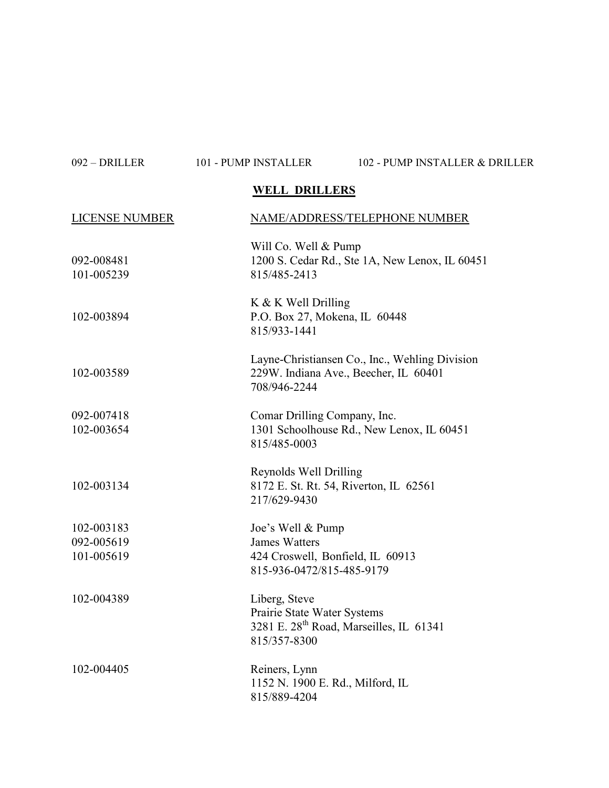| 092 - DRILLER | 101 - PUMP INSTALLER | 102 - PUMP INSTALLER & DRILLER |
|---------------|----------------------|--------------------------------|
|               |                      |                                |

## WELL DRILLERS

| <b>LICENSE NUMBER</b>    | NAME/ADDRESS/TELEPHONE NUMBER                                                                                       |
|--------------------------|---------------------------------------------------------------------------------------------------------------------|
| 092-008481<br>101-005239 | Will Co. Well & Pump<br>1200 S. Cedar Rd., Ste 1A, New Lenox, IL 60451<br>815/485-2413                              |
| 102-003894               | K & K Well Drilling<br>P.O. Box 27, Mokena, IL 60448<br>815/933-1441                                                |
| 102-003589               | Layne-Christiansen Co., Inc., Wehling Division<br>229W. Indiana Ave., Beecher, IL 60401<br>708/946-2244             |
| 092-007418<br>102-003654 | Comar Drilling Company, Inc.<br>1301 Schoolhouse Rd., New Lenox, IL 60451<br>815/485-0003                           |
| 102-003134               | Reynolds Well Drilling<br>8172 E. St. Rt. 54, Riverton, IL 62561<br>217/629-9430                                    |
| 102-003183               | Joe's Well & Pump                                                                                                   |
| 092-005619               | <b>James Watters</b>                                                                                                |
| 101-005619               | 424 Croswell, Bonfield, IL 60913<br>815-936-0472/815-485-9179                                                       |
| 102-004389               | Liberg, Steve<br>Prairie State Water Systems<br>3281 E. 28 <sup>th</sup> Road, Marseilles, IL 61341<br>815/357-8300 |
| 102-004405               | Reiners, Lynn<br>1152 N. 1900 E. Rd., Milford, IL<br>815/889-4204                                                   |